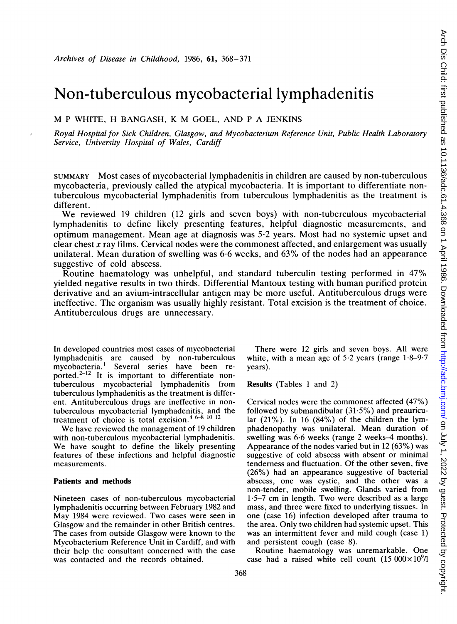# Non-tuberculous mycobacterial lymphadenitis

M <sup>P</sup> WHITE, H BANGASH, K M GOEL, AND <sup>P</sup> A JENKINS

Royal Hospital for Sick Children, Glasgow, and Mycobacterium Reference Unit, Public Health Laboratory Service, University Hospital of Wales, Cardiff

SUMMARY Most cases of mycobacterial lymphadenitis in children are caused by non-tuberculous mycobacteria, previously called the atypical mycobacteria. It is important to differentiate nontuberculous mycobacterial lymphadenitis from tuberculous lymphadenitis as the treatment is different.

We reviewed <sup>19</sup> children (12 girls and seven boys) with non-tuberculous mycobacterial lymphadenitis to define likely presenting features, helpful diagnostic measurements, and optimum management. Mean age at diagnosis was 5-2 years. Most had no systemic upset and clear chest  $x$  ray films. Cervical nodes were the commonest affected, and enlargement was usually unilateral. Mean duration of swelling was 6-6 weeks, and 63% of the nodes had an appearance suggestive of cold abscess.

Routine haematology was unhelpful, and standard tuberculin testing performed in 47% yielded negative results in two thirds. Differential Mantoux testing with human purified protein derivative and an avium-intracellular antigen may be more useful. Antituberculous drugs were ineffective. The organism was usually highly resistant. Total excision is the treatment of choice. Antituberculous drugs are unnecessary.

In developed countries most cases of mycobacterial lymphadenitis are caused by non-tuberculous mycobacteria.<sup>1</sup> Several series have been reported.<sup>2-12</sup> It is important to differentiate nontuberculous mycobacterial lymphadenitis from tuberculous lymphadenitis as the treatment is different. Antituberculous drugs are ineffective in nontuberculous mycobacterial lymphadenitis, and the treatment of choice is total excision.<sup>4 6-8</sup> 10 <sup>12</sup>

We have reviewed the management of <sup>19</sup> children with non-tuberculous mycobacterial lymphadenitis. We have sought to define the likely presenting features of these infections and helpful diagnostic measurements.

## Patients and methods

Nineteen cases of non-tuberculous mycobacterial lymphadenitis occurring between February 1982 and May 1984 were reviewed. Two cases were seen in Glasgow and the remainder in other British centres. The cases from outside Glasgow were known to the Mycobacterium Reference Unit in Cardiff, and with their help the consultant concerned with the case was contacted and the records obtained.

There were 12 girls and seven boys. All were white, with a mean age of  $5.2$  years (range  $1.8-9.7$ years).

Results (Tables <sup>1</sup> and 2)

Cervical nodes were the commonest affected (47%) followed by submandibular  $(31.5\%)$  and preauricular  $(21\%)$ . In 16  $(84\%)$  of the children the lymphadenopathy was unilateral. Mean duration of swelling was 6-6 weeks (range 2 weeks-4 months). Appearance of the nodes varied but in 12 (63%) was suggestive of cold abscess with absent or minimal tenderness and fluctuation. Of the other seven, five (26%) had an appearance suggestive of bacterial abscess, one was cystic, and the other was a non-tender, mobile swelling. Glands varied from 1-5-7 cm in length. Two were described as <sup>a</sup> large mass, and three were fixed to underlying tissues. In one (case 16) infection developed after trauma to the area. Only two children had systemic upset. This was an intermittent fever and mild cough (case 1) and persistent cough (case 8).

Routine haematology was unremarkable. One case had a raised white cell count  $(15\,000\times10^9)$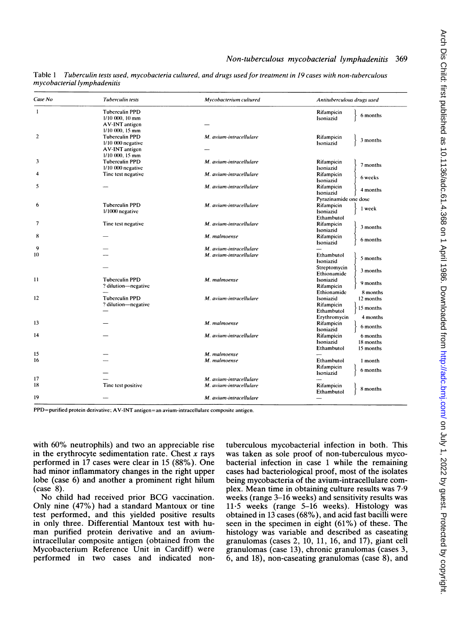| Case No | <b>Tuberculin tests</b>                                               | Mycobacterium cultured  | Antituberculous drugs used                                                                 |
|---------|-----------------------------------------------------------------------|-------------------------|--------------------------------------------------------------------------------------------|
| 1       | <b>Tuberculin PPD</b><br>$1/10$ 000, 10 mm<br><b>AV-INT</b> antigen   |                         | Rifampicin<br>6 months<br>Isoniazid                                                        |
| 2       | $1/10$ 000, 15 mm<br><b>Tuberculin PPD</b><br>$1/10$ 000 negative     | M. avium-intracellulare | Rifampicin<br>3 months<br>Isoniazid                                                        |
| 3       | <b>AV-INT</b> antigen<br>$1/10000$ , $15$ mm<br><b>Tuberculin PPD</b> | M. avium-intracellulare | Rifampicin                                                                                 |
|         | $1/10$ 000 negative                                                   |                         | 7 months<br>Isoniazid                                                                      |
| 4       | Tine test negative                                                    | M. avium-intracellulare | Rifampicin<br>6 weeks<br>Isoniazid                                                         |
| 5       |                                                                       | M. avium-intracellulare | Rifampicin<br>4 months<br>Isoniazid                                                        |
| 6       | <b>Tuberculin PPD</b><br>1/1000 negative                              | M. avium-intracellulare | Pyrazinamide one dose<br>Rifampicin<br>1 week<br>Isoniazid                                 |
| 7       | Tine test negative                                                    | M. avium-intracellulare | Ethambutol<br>Rifampicin<br>3 months<br>Isoniazid                                          |
| 8       |                                                                       | M. malmoense            | Rifampicin<br>6 months<br>Isoniazid                                                        |
| 9       |                                                                       | M. avium-intracellulare |                                                                                            |
| 10      |                                                                       | M. avium-intracellulare | Ethambutol<br>5 months<br>Isoniazid<br>Streptomycin<br>3 months                            |
| 11      | <b>Tuberculin PPD</b><br>? dilution—negative                          | M. malmoense            | Ethionamide<br>Isoniazid<br>9 months<br>Rifampicin                                         |
| 12      | <b>Tuberculin PPD</b><br>? dilution-negative                          | M. avium-intracellulare | Ethionamide<br>8 months<br>Isoniazid<br>12 months<br>Rifampicin<br>15 months<br>Ethambutol |
| 13      |                                                                       | M. malmoense            | Erythromycin<br>4 months<br>Rifampicin<br>6 months<br>Isoniazid                            |
| 14      |                                                                       | M. avium-intracellulare | Rifampicin<br>6 months<br>Isoniazid<br>18 months<br>Ethambutol<br>15 months                |
| 15      |                                                                       | M. malmoense            |                                                                                            |
| 16      |                                                                       | M. malmoense            | Ethambutol<br>1 month<br>Rifampicin<br>6 months<br>Isoniazid                               |
| 17      |                                                                       | M. avium-intracellulare |                                                                                            |
| 18      | Tine test positive                                                    | M. avium-intracellulare | Rifampicin<br>8 months<br>Ethambutol                                                       |
| 19      |                                                                       | M. avium-intracellulare |                                                                                            |

Table <sup>1</sup> Tuberculin tests used, mycobacteria cultured, and drugs used for treatment in 19 cases with non-tuberculous mycobacterial lymphadenitis

PPD=purified protein derivative; AV-INT antigen=an avium-intracellulare composite antigen.

with 60% neutrophils) and two an appreciable rise in the erythrocyte sedimentation rate. Chest  $x$  rays performed in 17 cases were clear in 15 (88%). One had minor inflammatory changes in the right upper lobe (case 6) and another a prominent right hilum  $(\text{case } 8)$ .

No child had received prior BCG vaccination. Only nine (47%) had a standard Mantoux or tine test performed, and this yielded positive results in only three. Differential Mantoux test with human purified protein derivative and an aviumintracellular composite antigen (obtained from the Mycobacterium Reference Unit in Cardiff) were performed in two cases and indicated nontuberculous mycobacterial infection in both. This was taken as sole proof of non-tuberculous mycobacterial infection in case <sup>1</sup> while the remaining cases had bacteriological proof, most of the isolates being mycobacteria of the avium-intracellulare complex. Mean time in obtaining culture results was 7-9 weeks (range 3-16 weeks) and sensitivity results was  $11-5$  weeks (range  $5-16$  weeks). Histology was obtained in 13 cases (68%), and acid fast bacilli were seen in the specimen in eight (61%) of these. The histology was variable and described as caseating granulomas (cases 2, 10, 11, 16, and 17), giant cell granulomas (case 13), chronic granulomas (cases 3, 6, and 18), non-caseating granulomas (case 8), and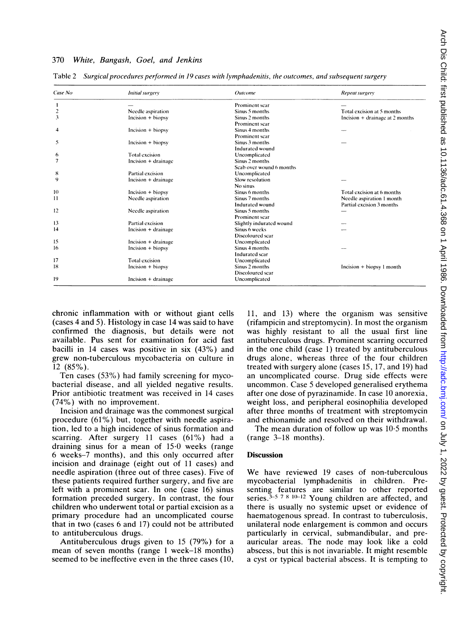### 370 White, Bangash, Goel, and Jenkins

| Case No         | <b>Initial surgery</b> | <b>Outcome</b>           | Repeat surgery                  |
|-----------------|------------------------|--------------------------|---------------------------------|
|                 |                        | Prominent scar           |                                 |
| 2               | Needle aspiration      | Sinus 5 months           | Total excision at 5 months      |
| 3               | Incision + biopsy      | Sinus 2 months           | Incision + drainage at 2 months |
|                 |                        | Prominent scar           |                                 |
| 4               | $Incision + biopy$     | Sinus 4 months           |                                 |
|                 |                        | Prominent scar           |                                 |
| 5               | $lncision + biopy$     | Sinus 3 months           |                                 |
|                 |                        | Indurated wound          |                                 |
| 6               | <b>Total excision</b>  | Uncomplicated            |                                 |
| 7               | Incision + drainage    | Sinus 2 months           |                                 |
|                 |                        | Scab over wound 6 months |                                 |
| 8               | Partial excision       | Uncomplicated            |                                 |
| 9               | Incision + drainage    | Slow resolution          |                                 |
|                 |                        | No sinus                 |                                 |
| 10              | Incision + biopsy      | Sinus 6 months           | Total excision at 6 months      |
| $\overline{11}$ | Needle aspiration      | Sinus 7 months           | Needle aspiration 1 month       |
|                 |                        | Indurated wound          | Partial excision 3 months       |
| 12              | Needle aspiration      | Sinus 5 months           |                                 |
|                 |                        | Prominent scar           |                                 |
| 13              | Partial excision       | Slightly indurated wound |                                 |
| 14              | Incision + drainage    | Sinus 6 weeks            |                                 |
|                 |                        | Discoloured scar         |                                 |
| 15              | Incision $+$ drainage  | Uncomplicated            |                                 |
| 16              | Incision + biopsy      | Sinus 4 months           |                                 |
|                 |                        | Indurated scar           |                                 |
| 17              | <b>Total excision</b>  | Uncomplicated            |                                 |
| 18              | Incision + biopsy      | Sinus 2 months           | Incision $+$ biopsy 1 month     |
|                 |                        | Discoloured scar         |                                 |
| 19              | $Incision + drainage$  | Uncomplicated            |                                 |

Table 2 Surgical procedures performed in 19 cases with lymphadenitis, the outcomes, and subsequent surgery

chronic inflammation with or without giant cells (cases 4 and 5). Histology in case 14 was said to have confirmed the diagnosis, but details were not available. Pus sent for examination for acid fast bacilli in 14 cases was positive in six (43%) and grew non-tuberculous mycobacteria on culture in 12 (85%).

Ten cases (53%) had family screening for mycobacterial disease, and all yielded negative results. Prior antibiotic treatment was received in 14 cases (74%) with no improvement.

Incision and drainage was the commonest surgical procedure (61%) but, together with needle aspiration, led to a high incidence of sinus formation and scarring. After surgery 11 cases (61%) had a draining sinus for a mean of 15-0 weeks (range 6 weeks-7 months), and this only occurred after incision and drainage (eight out of 11 cases) and needle aspiration (three out of three cases). Five of these patients required further surgery, and five are left with a prominent scar. In one (case 16) sinus formation preceded surgery. In contrast, the four children who underwent total or partial excision as <sup>a</sup> primary procedure had an uncomplicated course that in two (cases 6 and 17) could not be attributed to antituberculous drugs.

Antituberculous drugs given to 15 (79%) for a mean of seven months (range <sup>1</sup> week-18 months) seemed to be ineffective even in the three cases (10, 11, and 13) where the organism was sensitive (rifampicin and streptomycin). In most the organism was highly resistant to all the usual first line antituberculous drugs. Prominent scarring occurred in the one child (case 1) treated by antituberculous drugs alone, whereas three of the four children treated with surgery alone (cases 15, 17, and 19) had an uncomplicated course. Drug side effects were uncommon. Case 5 developed generalised erythema after one dose of pyrazinamide. In case 10 anorexia, weight loss, and peripheral eosinophilia developed after three months of treatment with streptomycin and ethionamide and resolved on their withdrawal.

The mean duration of follow up was 10-5 months (range 3-18 months).

### Discussion

We have reviewed <sup>19</sup> cases of non-tuberculous mycobacterial lymphadenitis in children. Presenting features are similar to other reported series. $3-5$  7 8 10-12 Young children are affected, and there is usually no systemic upset or evidence of haematogenous spread. In contrast to tuberculosis, unilateral node enlargement is common and occurs particularly in cervical, submandibular, and preauricular areas. The node may look like a cold abscess, but this is not invariable. It might resemble a cyst or typical bacterial abscess. It is tempting to